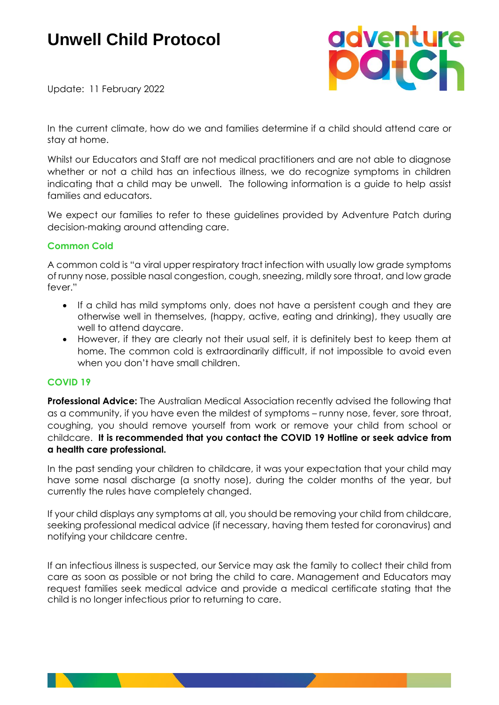# **Unwell Child Protocol**



Update: 11 February 2022

In the current climate, how do we and families determine if a child should attend care or stay at home.

Whilst our Educators and Staff are not medical practitioners and are not able to diagnose whether or not a child has an infectious illness, we do recognize symptoms in children indicating that a child may be unwell. The following information is a guide to help assist families and educators.

We expect our families to refer to these guidelines provided by Adventure Patch during decision-making around attending care.

#### **Common Cold**

A common cold is "a viral upper respiratory tract infection with usually low grade symptoms of runny nose, possible nasal congestion, cough, sneezing, mildly sore throat, and low grade fever."

- If a child has mild symptoms only, does not have a persistent cough and they are otherwise well in themselves, (happy, active, eating and drinking), they usually are well to attend daycare.
- However, if they are clearly not their usual self, it is definitely best to keep them at home. The common cold is extraordinarily difficult, if not impossible to avoid even when you don't have small children.

#### **COVID 19**

**Professional Advice:** The Australian Medical Association recently advised the following that as a community, if you have even the mildest of symptoms – runny nose, fever, sore throat, coughing, you should remove yourself from work or remove your child from school or childcare. **It is recommended that you contact the COVID 19 Hotline or seek advice from a health care professional.**

In the past sending your children to childcare, it was your expectation that your child may have some nasal discharge (a snotty nose), during the colder months of the year, but currently the rules have completely changed.

If your child displays any symptoms at all, you should be removing your child from childcare, seeking professional medical advice (if necessary, having them tested for coronavirus) and notifying your childcare centre.

If an infectious illness is suspected, our Service may ask the family to collect their child from care as soon as possible or not bring the child to care. Management and Educators may request families seek medical advice and provide a medical certificate stating that the child is no longer infectious prior to returning to care.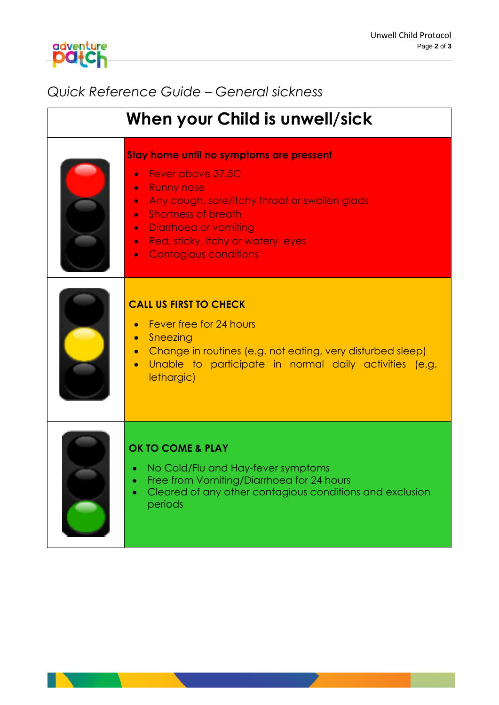## *Quick Reference Guide – General sickness*

adventure<br>**POICh** 

| When your Child is unwell/sick |                                                                                                                                                                                                                                                                                                                                                      |  |  |  |  |  |
|--------------------------------|------------------------------------------------------------------------------------------------------------------------------------------------------------------------------------------------------------------------------------------------------------------------------------------------------------------------------------------------------|--|--|--|--|--|
|                                | Stay home until no symptoms are pressent<br>Fever above 37.5C<br><b>Runny nose</b><br>$\bullet$<br>Any cough, sore/itchy throat or swollen glads<br>$\bullet$<br><b>Shortness of breath</b><br>$\bullet$<br><b>Diarrhoed or vomiting</b><br>$\bullet$<br>Red, sticky, itchy or watery eyes<br>$\bullet$<br><b>Contagious conditions</b><br>$\bullet$ |  |  |  |  |  |
|                                | <b>CALL US FIRST TO CHECK</b><br>Fever free for 24 hours<br>Sneezing<br>Change in routines (e.g. not eating, very disturbed sleep)<br>$\bullet$<br>Unable to participate in normal daily activities (e.g.<br>lethargic)                                                                                                                              |  |  |  |  |  |
|                                | <b>OK TO COME &amp; PLAY</b><br>No Cold/Flu and Hay-fever symptoms<br>Free from Vomiting/Diarrhoeg for 24 hours<br>Cleared of any other contagious conditions and exclusion<br>periods                                                                                                                                                               |  |  |  |  |  |